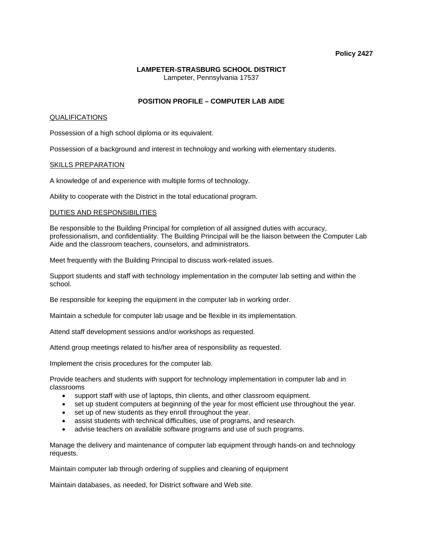#### **Policy 2427**

### **LAMPETER-STRASBURG SCHOOL DISTRICT**  Lampeter, Pennsylvania 17537

# **POSITION PROFILE – COMPUTER LAB AIDE**

## QUALIFICATIONS

Possession of a high school diploma or its equivalent.

Possession of a background and interest in technology and working with elementary students.

# SKILLS PREPARATION

A knowledge of and experience with multiple forms of technology.

Ability to cooperate with the District in the total educational program.

# DUTIES AND RESPONSIBILITIES

Be responsible to the Building Principal for completion of all assigned duties with accuracy, professionalism, and confidentiality. The Building Principal will be the liaison between the Computer Lab Aide and the classroom teachers, counselors, and administrators.

Meet frequently with the Building Principal to discuss work-related issues.

Support students and staff with technology implementation in the computer lab setting and within the school.

Be responsible for keeping the equipment in the computer lab in working order.

Maintain a schedule for computer lab usage and be flexible in its implementation.

Attend staff development sessions and/or workshops as requested.

Attend group meetings related to his/her area of responsibility as requested.

Implement the crisis procedures for the computer lab.

Provide teachers and students with support for technology implementation in computer lab and in classrooms

- support staff with use of laptops, thin clients, and other classroom equipment.
- set up student computers at beginning of the year for most efficient use throughout the year.
- set up of new students as they enroll throughout the year.
- assist students with technical difficulties, use of programs, and research.
- advise teachers on available software programs and use of such programs.

Manage the delivery and maintenance of computer lab equipment through hands-on and technology requests.

Maintain computer lab through ordering of supplies and cleaning of equipment

Maintain databases, as needed, for District software and Web site.